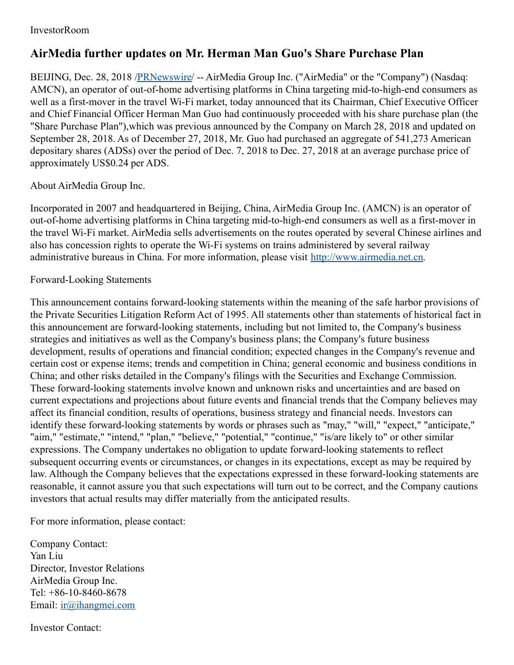## InvestorRoom

## **AirMedia further updates on Mr. Herman Man Guo's Share Purchase Plan**

BEIJING, Dec. 28, 2018 [/PRNewswire](http://www.prnewswire.com/)/ -- AirMedia Group Inc. ("AirMedia" or the "Company") (Nasdaq: AMCN), an operator of out-of-home advertising platforms in China targeting mid-to-high-end consumers as well as a first-mover in the travel Wi-Fi market, today announced that its Chairman, Chief Executive Officer and Chief Financial Officer Herman Man Guo had continuously proceeded with his share purchase plan (the "Share Purchase Plan"),which was previous announced by the Company on March 28, 2018 and updated on September 28, 2018. As of December 27, 2018, Mr. Guo had purchased an aggregate of 541,273 American depositary shares (ADSs) over the period of Dec. 7, 2018 to Dec. 27, 2018 at an average purchase price of approximately US\$0.24 per ADS.

About AirMedia Group Inc.

Incorporated in 2007 and headquartered in Beijing, China, AirMedia Group Inc. (AMCN) is an operator of out-of-home advertising platforms in China targeting mid-to-high-end consumers as well as a first-mover in the travel Wi-Fi market. AirMedia sells advertisements on the routes operated by several Chinese airlines and also has concession rights to operate the Wi-Fi systems on trains administered by several railway administrative bureaus in China. For more information, please visit [http://www.airmedia.net.cn](http://www.airmedia.net.cn/).

## Forward-Looking Statements

This announcement contains forward-looking statements within the meaning of the safe harbor provisions of the Private Securities Litigation Reform Act of 1995. All statements other than statements of historical fact in this announcement are forward-looking statements, including but not limited to, the Company's business strategies and initiatives as well as the Company's business plans; the Company's future business development, results of operations and financial condition; expected changes in the Company's revenue and certain cost or expense items; trends and competition in China; general economic and business conditions in China; and other risks detailed in the Company's filings with the Securities and Exchange Commission. These forward-looking statements involve known and unknown risks and uncertainties and are based on current expectations and projections about future events and financial trends that the Company believes may affect its financial condition, results of operations, business strategy and financial needs. Investors can identify these forward-looking statements by words or phrases such as "may," "will," "expect," "anticipate," "aim," "estimate," "intend," "plan," "believe," "potential," "continue," "is/are likely to" or other similar expressions. The Company undertakes no obligation to update forward-looking statements to reflect subsequent occurring events or circumstances, or changes in its expectations, except as may be required by law. Although the Company believes that the expectations expressed in these forward-looking statements are reasonable, it cannot assure you that such expectations will turn out to be correct, and the Company cautions investors that actual results may differ materially from the anticipated results.

For more information, please contact:

Company Contact: Yan Liu Director, Investor Relations AirMedia Group Inc. Tel: +86-10-8460-8678 Email: [ir@ihangmei.com](mailto:ir@ihangmei.com)

Investor Contact: